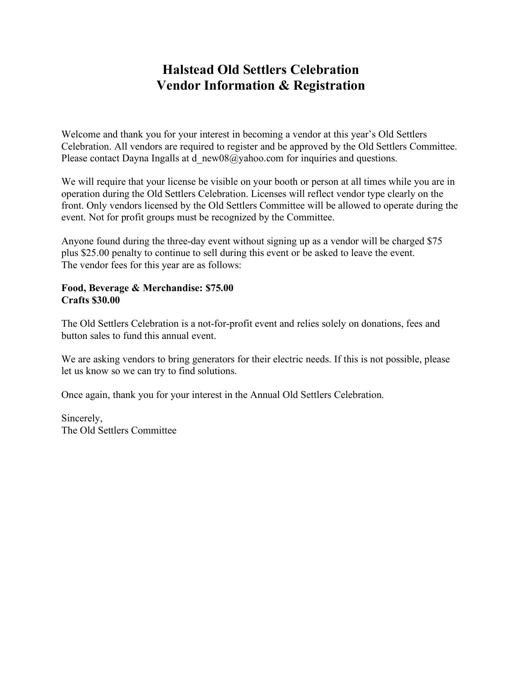## **Halstead Old Settlers Celebration Vendor Information & Registration**

Welcome and thank you for your interest in becoming a vendor at this year's Old Settlers Celebration. All vendors are required to register and be approved by the Old Settlers Committee. Please contact Dayna Ingalls at d\_new08@yahoo.com for inquiries and questions.

We will require that your license be visible on your booth or person at all times while you are in operation during the Old Settlers Celebration. Licenses will reflect vendor type clearly on the front. Only vendors licensed by the Old Settlers Committee will be allowed to operate during the event. Not for profit groups must be recognized by the Committee.

Anyone found during the three-day event without signing up as a vendor will be charged \$75 plus \$25.00 penalty to continue to sell during this event or be asked to leave the event. The vendor fees for this year are as follows:

## **Food, Beverage & Merchandise: \$75.00 Crafts \$30.00**

The Old Settlers Celebration is a not-for-profit event and relies solely on donations, fees and button sales to fund this annual event.

We are asking vendors to bring generators for their electric needs. If this is not possible, please let us know so we can try to find solutions.

Once again, thank you for your interest in the Annual Old Settlers Celebration.

Sincerely, The Old Settlers Committee